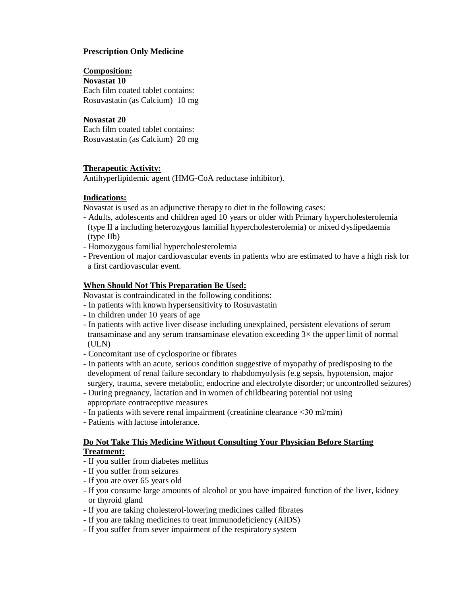# **Prescription Only Medicine**

#### **Composition:**

**Novastat 10** Each film coated tablet contains: Rosuvastatin (as Calcium) 10 mg

### **Novastat 20**

Each film coated tablet contains: Rosuvastatin (as Calcium) 20 mg

# **Therapeutic Activity:**

Antihyperlipidemic agent (HMG-CoA reductase inhibitor).

# **Indications:**

Novastat is used as an adjunctive therapy to diet in the following cases:

- Adults, adolescents and children aged 10 years or older with Primary hypercholesterolemia (type II a including heterozygous familial hypercholesterolemia) or mixed dyslipedaemia (type IIb)
- Homozygous familial hypercholesterolemia
- Prevention of major cardiovascular events in patients who are estimated to have a high risk for a first cardiovascular event.

# **When Should Not This Preparation Be Used:**

Novastat is contraindicated in the following conditions:

- In patients with known hypersensitivity to Rosuvastatin
- In children under 10 years of age
- In patients with active liver disease including unexplained, persistent elevations of serum transaminase and any serum transaminase elevation exceeding  $3\times$  the upper limit of normal (ULN)
- Concomitant use of cyclosporine or fibrates
- In patients with an acute, serious condition suggestive of myopathy of predisposing to the development of renal failure secondary to rhabdomyolysis (e.g sepsis, hypotension, major surgery, trauma, severe metabolic, endocrine and electrolyte disorder; or uncontrolled seizures)
- During pregnancy, lactation and in women of childbearing potential not using appropriate contraceptive measures
- In patients with severe renal impairment (creatinine clearance ˂30 ml/min)
- **-** Patients with lactose intolerance.

# **Do Not Take This Medicine Without Consulting Your Physician Before Starting Treatment:**

- If you suffer from diabetes mellitus
- If you suffer from seizures
- If you are over 65 years old
- If you consume large amounts of alcohol or you have impaired function of the liver, kidney or thyroid gland
- If you are taking cholesterol-lowering medicines called fibrates
- If you are taking medicines to treat immunodeficiency (AIDS)
- If you suffer from sever impairment of the respiratory system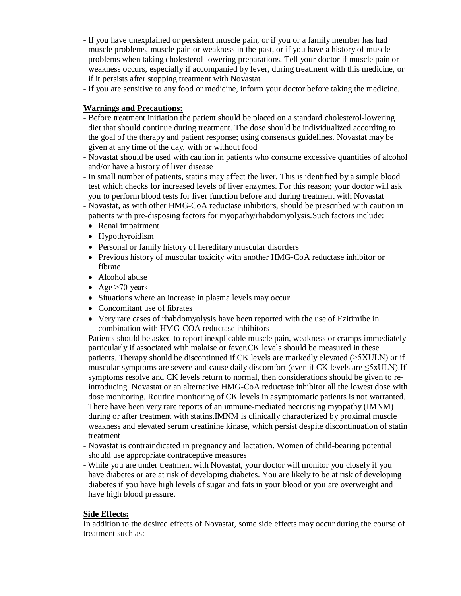- If you have unexplained or persistent muscle pain, or if you or a family member has had muscle problems, muscle pain or weakness in the past, or if you have a history of muscle problems when taking cholesterol-lowering preparations. Tell your doctor if muscle pain or weakness occurs, especially if accompanied by fever, during treatment with this medicine, or if it persists after stopping treatment with Novastat
- If you are sensitive to any food or medicine, inform your doctor before taking the medicine.

# **Warnings and Precautions:**

- Before treatment initiation the patient should be placed on a standard cholesterol-lowering diet that should continue during treatment. The dose should be individualized according to the goal of the therapy and patient response; using consensus guidelines. Novastat may be given at any time of the day, with or without food
- Novastat should be used with caution in patients who consume excessive quantities of alcohol and/or have a history of liver disease
- In small number of patients, statins may affect the liver. This is identified by a simple blood test which checks for increased levels of liver enzymes. For this reason; your doctor will ask you to perform blood tests for liver function before and during treatment with Novastat
- Novastat, as with other HMG-CoA reductase inhibitors, should be prescribed with caution in patients with pre-disposing factors for myopathy/rhabdomyolysis.Such factors include:
- Renal impairment
- Hypothyroidism
- Personal or family history of hereditary muscular disorders
- Previous history of muscular toxicity with another HMG-CoA reductase inhibitor or fibrate
- Alcohol abuse
- Age  $>70$  years
- Situations where an increase in plasma levels may occur
- Concomitant use of fibrates
- Very rare cases of rhabdomyolysis have been reported with the use of Ezitimibe in combination with HMG-COA reductase inhibitors
- Patients should be asked to report inexplicable muscle pain, weakness or cramps immediately particularly if associated with malaise or fever.CK levels should be measured in these patients. Therapy should be discontinued if CK levels are markedly elevated (˃5XULN) or if muscular symptoms are severe and cause daily discomfort (even if CK levels are  $\leq 5x$ ULN). If symptoms resolve and CK levels return to normal, then considerations should be given to reintroducing Novastat or an alternative HMG-CoA reductase inhibitor all the lowest dose with dose monitoring. Routine monitoring of CK levels in asymptomatic patients is not warranted. There have been very rare reports of an immune-mediated necrotising myopathy (IMNM) during or after treatment with statins.IMNM is clinically characterized by proximal muscle weakness and elevated serum creatinine kinase, which persist despite discontinuation of statin treatment
- Novastat is contraindicated in pregnancy and lactation. Women of child-bearing potential should use appropriate contraceptive measures
- While you are under treatment with Novastat, your doctor will monitor you closely if you have diabetes or are at risk of developing diabetes. You are likely to be at risk of developing diabetes if you have high levels of sugar and fats in your blood or you are overweight and have high blood pressure.

### **Side Effects:**

In addition to the desired effects of Novastat, some side effects may occur during the course of treatment such as: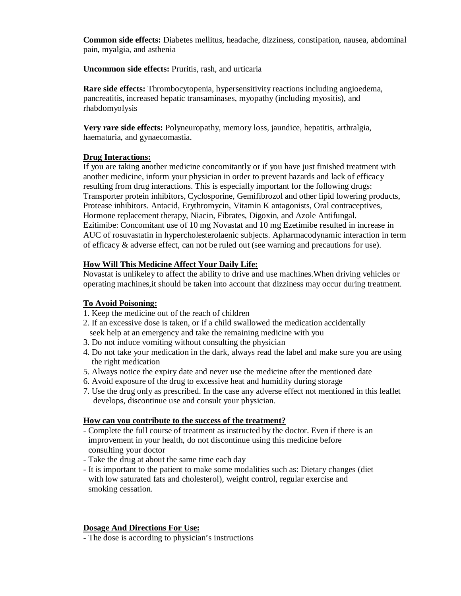**Common side effects:** Diabetes mellitus, headache, dizziness, constipation, nausea, abdominal pain, myalgia, and asthenia

**Uncommon side effects:** Pruritis, rash, and urticaria

**Rare side effects:** Thrombocytopenia, hypersensitivity reactions including angioedema, pancreatitis, increased hepatic transaminases, myopathy (including myositis), and rhabdomyolysis

**Very rare side effects:** Polyneuropathy, memory loss, jaundice, hepatitis, arthralgia, haematuria, and gynaecomastia.

### **Drug Interactions:**

If you are taking another medicine concomitantly or if you have just finished treatment with another medicine, inform your physician in order to prevent hazards and lack of efficacy resulting from drug interactions. This is especially important for the following drugs: Transporter protein inhibitors, Cyclosporine, Gemifibrozol and other lipid lowering products, Protease inhibitors. Antacid, Erythromycin, Vitamin K antagonists, Oral contraceptives, Hormone replacement therapy, Niacin, Fibrates, Digoxin, and Azole Antifungal. Ezitimibe: Concomitant use of 10 mg Novastat and 10 mg Ezetimibe resulted in increase in AUC of rosuvastatin in hypercholesterolaenic subjects. Apharmacodynamic interaction in term of efficacy & adverse effect, can not be ruled out (see warning and precautions for use).

# **How Will This Medicine Affect Your Daily Life:**

Novastat is unlikeley to affect the ability to drive and use machines.When driving vehicles or operating machines,it should be taken into account that dizziness may occur during treatment.

# **To Avoid Poisoning:**

- 1. Keep the medicine out of the reach of children
- 2. If an excessive dose is taken, or if a child swallowed the medication accidentally seek help at an emergency and take the remaining medicine with you
- 3. Do not induce vomiting without consulting the physician
- 4. Do not take your medication in the dark, always read the label and make sure you are using the right medication
- 5. Always notice the expiry date and never use the medicine after the mentioned date
- 6. Avoid exposure of the drug to excessive heat and humidity during storage
- 7. Use the drug only as prescribed. In the case any adverse effect not mentioned in this leaflet develops, discontinue use and consult your physician.

### **How can you contribute to the success of the treatment?**

- Complete the full course of treatment as instructed by the doctor. Even if there is an improvement in your health, do not discontinue using this medicine before consulting your doctor
- Take the drug at about the same time each day
- It is important to the patient to make some modalities such as: Dietary changes (diet with low saturated fats and cholesterol), weight control, regular exercise and smoking cessation.

# **Dosage And Directions For Use:**

- The dose is according to physician's instructions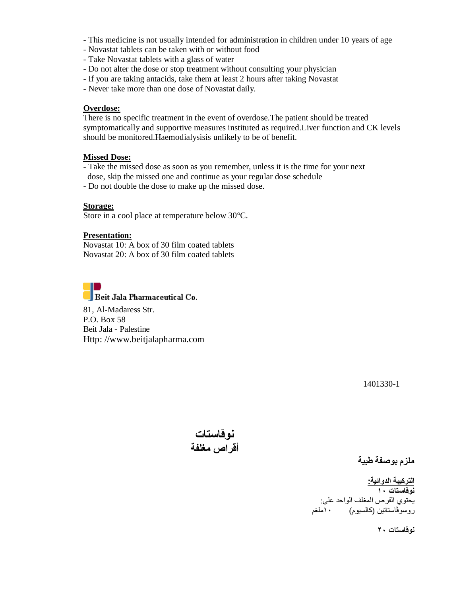- This medicine is not usually intended for administration in children under 10 years of age
- Novastat tablets can be taken with or without food
- Take Novastat tablets with a glass of water
- Do not alter the dose or stop treatment without consulting your physician
- If you are taking antacids, take them at least 2 hours after taking Novastat
- Never take more than one dose of Novastat daily.

#### **Overdose:**

There is no specific treatment in the event of overdose.The patient should be treated symptomatically and supportive measures instituted as required.Liver function and CK levels should be monitored.Haemodialysisis unlikely to be of benefit.

#### **Missed Dose:**

- Take the missed dose as soon as you remember, unless it is the time for your next dose, skip the missed one and continue as your regular dose schedule
- Do not double the dose to make up the missed dose.

#### **Storage:**

Store in a cool place at temperature below 30°C.

#### **Presentation:**

Novastat 10: A box of 30 film coated tablets Novastat 20: A box of 30 film coated tablets



 $\sqrt{\frac{1}{1}}$ Beit Jala Pharmaceutical Co.

81, Al-Madaress Str. P.O. Box 58 Beit Jala - Palestine Http: //www.beitjalapharma.com

1401330-1

**نوڤاستات أقراص مغلفة** 

**ملزم بوصفة طبیة**

**التركیبة الدوائیة: نوڤاستات ١٠**  یحتوي القرص المغلف الواحد على: روسوٌڤاستاتین (كالسیوم)

**نوڤاستات ٢٠**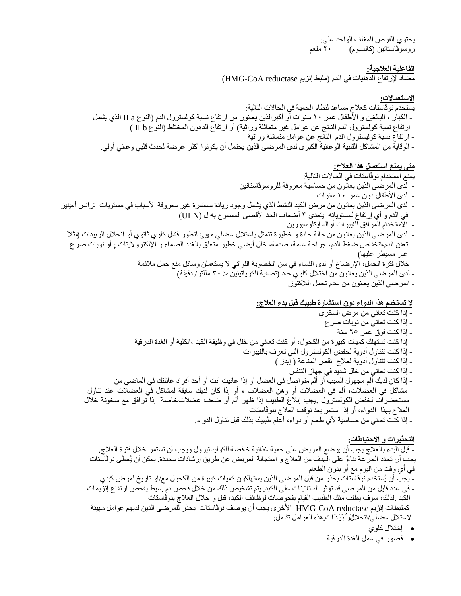یحتوي القرص المغلف الواحد على: روسوڤاستاتین (كالسیوم) ٢٠ ملغم

**الفاعلیة العلاجیة:**

مضاد لإرتفاع الدھنیات في الدم (مثبط إنزیم reductase CoA-HMG (.

**الاستعمالات:**  یستخدم نوڤاستات كعلاج مساعد لنظام الحمیة في الحالات التالیة: - الكبار ، البالغین و الأطفال عمر ١٠ سنوات أو أكبرالذین یعانون من ارتفاع نسبة كولسترول الدم (النوع a II الذي یشمل ارتفاع نسبة كولسترول الدم الناتج عن عوامل غیر متماثلة وراثیة) أو ارتفاع الدھون المختلط (النوع b II ( - ارتفاع نسبة كولیسترول الدم الناتج عن عوامل متماثلة وراثیة - الوقایة من المشاكل القلبیة الوعائیة الكبرى لدى المرضى الذین یحتمل أن یكونوا أكثر عرضة لحدث قلبي وعائي أولي.

**متى یمنع استعمال ھذا العلاج:**

یمنع استخدام نوڤاستات في الحالات التالیة: - لدى المرضى الذین یعانون من حساسیة معروفة للروسوڤاستاتین - لدى الأطفال دون عمر ١٠ سنوات - لدى المرضى الذین یعانون من مرض الكبد النشط الذي یشمل وجود زیادة مستمرة غیر معروفة الأسباب في مستویات ترانس أمینیز في الدم و أي إرتفاع لمستویاتھ یتعدى ٣ أضعاف الحد الأقصى المسموح بھ ل (ULN ( - الاستخدام المرافق للفیبرات أوالسایكلوسبورین - لدى المرضى الذین یعانون من حالة حادة و خطیرة تتمثل باعتلال عضلي مھیئ لتطور فشل كلوي ثانوي أو انحلال الربیدات (مثلا ً تعفن الدم،انخفاض ضغط الدم، جراحة عامة، صدمة، خلل أیضي خطیر متعلق بالغدد الصماء و الإلكترولایتات ; أو نوبات صرع غیر مسیطر علیھا) - خلال فترة الحمل، الإرضاع أو لدى النساء في سن الخصویة اللواتي لا یستعملن وسائل منع حمل ملائمة - لدى المرضى الذین یعانون من اختلال كلوي حاد (تصفیة الكریاتینین ˃ ٣٠ مللتر/ دقیقة) - المرضى الذین یعانون من عدم تحمل اللاكتوز.

# **لا تستخدم ھذا الدواء دون استشارة طبیبك قبل بدء العلاج:**

- إذا كنت تعاني من مرض السكري - إذا كنت تعاني من نوبات صرع - إذا كنت فوق عمر ٦٥ سنة - إذا كنت تستھلك كمیات كبیرة من الكحول، أو كنت تعاني من خلل في وظیفة الكبد ،الكلیة أو الغدة الدرقیة - إذا كنت تتناول أدویة لخفض الكولسترول التي تعرف بالفیبرات - إذا كنت تتناول أدویة لعلاج نقص المناعة ( إیدز.) - إذا كنت تعاني من خلل شدید في جھاز التنفس - إذا كان لدیك ألم مجھول السبب أو ألم متواصل في العضل أو إذا عانیت أنت أو أحد أفراد عائلتك في الماضي من مشاكل في العضلات، ألم في العضلات أو وھن العضلات ، أو إذا كان لدیك سابقة لمشاكل في العضلات عند تناول مستحضرات لخفض الكولسترول .یجب إبلاغ الطبیب إذا ظھر ألم أو ضعف عضلاتخاصة ً إذا ترافق مع سخونة خلال العلاج بھذا الدواء، أو إذا استمر بعد توقف العلاج بنوڤاستات - إذا كنت تعاني من حساسیة لأي طعام أو دواء، أعلم طبیبك بذلك قبل تناول الدواء.

#### **التحذیرات و الاحتیاطات:**

- قبل البدء بالعلاج یجب أن یوضع المریض على حمیة غذائیة خافضة للكولیستیرول ویجب أن تستمر خلال فترة العلاج. یجب أن تحدد الجرعة بناءً على الھدف من العلاج و استجابة المریض عن طریق إرشادات محددة. یمكن أن یُعطى نوڤاستات في أي وقت من الیوم مع أو بدون الطعام - یجب أن یُستخدم نوڤاستات بحذر من قبل المرضى الذین یستھلكون كمیات كبیرة من الكحول مع/او تاریخ لمرض كبدي - في عدد قلیل من المرضى قد تؤثر الستاتینات على الكبد. یتم تشخیص ذلك من خلال فحص دم بسیط یفحص ارتفاع إنزیمات الكبد .لذلك، سوف یطلب منك الطبیب القیام بفحوصات لوظائف الكبد، قبل و خلال العلاج بنوڤاستات - كمثبطات إنزیم reductase CoA-HMG الأخرى یجب أن یوصف نوڤاستات بحذر للمرضى الذین لدیھم عوامل مھیئة

لاعتلال عضلي/انحلالللرُّ بَيْدَ ات هذه العوامل تشمل:

- إختلال كلوي
- قصور في عمل الغدة الدرقیة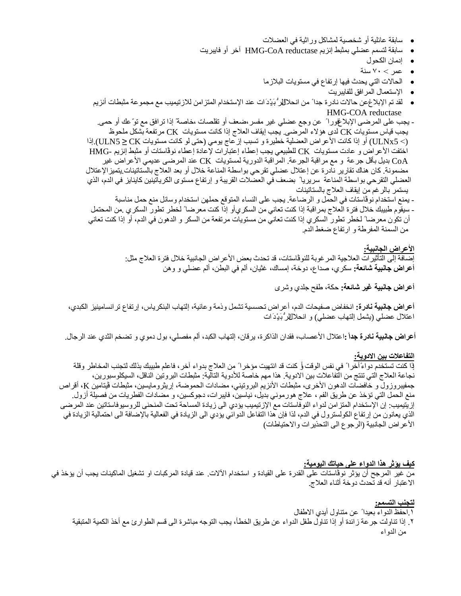- سابقة عائلیة أو شخصیة لمشاكل وراثیة في العضلات
- سابقة لتسمم عضلي بمثبط إنزیم reductase CoA-HMG آخر أو فایبریت
	- إدمان الكحول
	- عمر ˂ ٧٠ سنة
	- الحالات التي یحدث فیھا إرتفاع في مستویات البلازما
		- الإستعمال المرافق للفایبریت
- لقد تم الإبلاغ عن حالات نادرة جدا ً من انحلاللار ً بَیْدَ ات عند الإستخدام المتز امن للازتیمیب مع مجموعة مثبطات أنزیم HMG-COA reductase

- یجب على المرضى الإبلاغفورا ً عن وجع عضلي غیر مفسر،ضعف أو تقلصات ، خاصة ً إذا ترافق مع توّ عك أو حمى. یجب قیاس مستویات CK لدى ھؤلاء المرضى. یجب إیقاف العلاج إذا كانت مستویات CK مرتفعة بشكل ملحوظ (˂ 5ULNx (أو إذا كانت الأعراض العضلیة خطیرة و تسبب إزعاج یومي (حتى لو كانت مستویات CK **≥** 5ULN(.إذا اختفت الأعراض و عادت مستویات CK للطبیعي یجب إعطاء إعتبارات لإعادة إعطاء نوڤاستات أو مثبط إنزیم -HMG CoA بدیل بأقل جرعة و مع مراقبة الجرعة. المراقبة الدوریة لمستویات CK عند المرضى عدیمي الأعراض غیر مضمونة. كان ھناك تقاریر نادرة عن إعتلال عضلي تقرحي بواسطة المناعة خلال أو بعد العلاج بالستاتینات.یتمیزالإعتلال العضلي التقرحي بواسطة المناعة سریریا ً بضعف في العضلات القریبة و إرتفاع مستوى الكریاتینین كاینایز في الدم، الذي یستمر بالرغم من إیقاف العلاج بالستاتینات - یمنع استخدام نوڤاستات في الحمل و الرضاعة. یجب على النساء المتوقع حملھن استخدام وسائل منع حمل مناسبة

- سیقوم طبیبك خلال فترة العلاج بمراقبة إذا كنت تعاني من السكريأو إذا كنت معرضا ً لخطر تطور السكري .من المحتمل أن تكون معرضا ً لخطر تطور السكري إذا كنت تعاني من مستویات مرتفعة من السكر و الدھون في الدم، أو إذا كنت تعاني من السمنة المفرطة و ارتفاع ضغط الدم.

> **الأعراض الجانبیة:**  إضافة إلى التأثیرات العلاجیة المرغوبة للنوڤاستات، قد تحدث بعض الأعراض الجانبیة خلال فترة العلاج مثل: **أعراض جانبیة شائعة:** سكري، صداع، دوخة، إمساك، غثیان، ألم في البطن، ألم عضلي و وھن

> > **أعراض جانبیة غیر شائعة:** حكة، طفح جلدي وشرى

**أعراض جانبیة نادرة:** انخفاض صفیحات الدم، أعراض تحسسیة تشمل وذمة وعائیة، إلتھاب البنكریاس، إرتفاع ترانسامینیز الكبدي، اعتلال عضلي (یشمل إلتھاب عضلي) و انحلالالرُّ بَیْ د َ ات

**أعراض جانبیة نادرة جداً :**اعتلال الأعصاب، فقدان الذاكرة، یرقان، إلتھاب الكبد، ألم مفصلي، بول دموي و تضخم الثدي عند الرجال.

### **التفاعلات بین الادویة:**

ٳذا كنت تستخدم دواءً آخرا ً في نفس الوقت أو كنت قد انتھیت مؤخرا ً من العلاج بدواء آخر، فاعلم طبیبك بذلك لتجنب المخاطر وقلة نجاعة العلاج التي تنتج من التفاعلات بین الادویة. ھذا مھم خاصة للأدویة التالیة: مثبطات البروتین الناقل، السیكلوسبورین، جمفیبروزول و خافضات الدھون الأخرى، مثبطات الأنزیم البروتیني، مضادات الحموضة، إریثرومایسین، مثبطات ڤیتامین K، أقراص منع الحمل التي تؤخذ عن طریق الفم ، علاج ھورموني بدیل، نیاسین، فایبرات، دجوكسین، و مضادات الفطریات من فصیلة أزول. إزیتیمیب: إن الإستخدام المتزامن لدواء النوفاستات مع الإزتیمیب یؤدي الى زیادة المساحة تحت المنحنى للروسیوفاستاتین عند المرضى الذي یعانون من إرتفاع الكولسترول في الدم، لذا فإن ھذا التفاعل الدوائي یؤدي الى الزیادة في الفعالیة بالإضافة الى احتمالیة الزیادة في الأعراض الجانبیة (الرجوع الى التحذیرات والاحتیاطات)

# **كیف یؤثر ھذا الدواء على حیاتك الیومیة:**

من غیر المرجح أن یؤثر نوڤاستات على القدرة على القیادة و استخدام الآلات. عند قیادة المركبات او تشغیل الماكینات یجب أن یؤخذ في الاعتبار أنھ قد تحدث دوخة أثناء العلاج.

### **لتجنب التسمم:**

.١ احفظ الدواء بعیدا ً عن متناول أیدي الاطفال

.٢ ٳذا تناولت جرعة زائدة أو ٳذا تناول طفل الدواء عن طریق الخطأ، یجب التوجھ مباشرة الى قسم الطوارئ مع أخذ الكمیة المتبقیة من الدواء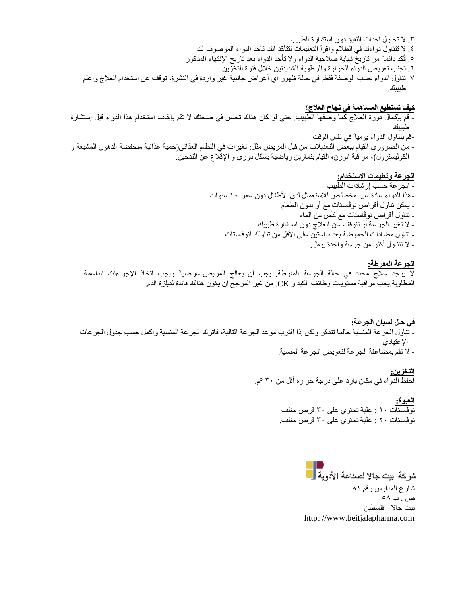- .٣ لا تحاول احداث التقیؤ دون استشارة الطبیب .٤ لا تتناول دواءك في الظلام واقرأ التعلیمات لتتأكد انك تأخذ الدواء الموصوف لك .٥ تأكد دائما ً من تاریخ نھایة صلاحیة الدواء ولا تأخذ الدواء بعد تاریخ اٺنتھاء المذكور .٦ تجنب تعریض الدواء للحرارة والرطوبة الشدیدتین خلال فترة التخزین
- .٧ تناول الدواء حسب الوصفة فقط. في حالة ظھور أي أعراض جانبیة غیر واردة في النشرة، توقف عن استخدام العلاج واعلم طبیبك.

**كیف تستطیع المساھمة في نجاح العلاج؟**  - قم بإكمال دورة العلاج كما وصفھا الطبیب. حتى لو كان ھناك تحسن في صحتك لا تقم بإیقاف استخدام ھذا الدواء قبل إستشارة طبیبك -قم بتناول الدواء یومیا ً في نفس الوقت - من الضروري القیام ببعض التعدیلات من قبل المریض مثل: تغیرات في النظام الغذائي(حمیة غذائیة منخفضة الدھون المشبعة و الكولیسترول)، مراقبة الوزن، القیام بتمارین ریاضیة بشكل دوري و الإقلاع عن التدخین.

> **الجرعة وتعلیمات الاستخدام:**  - الجرعة حسب إرشادات الطبیب -ھذا الدواء عادة غیر مخصّص لٻستعمال لدى الأطفال دون عمر ١٠ سنوات - یمكن تناول أقراص نوڤاستات مع أو بدون الطعام - تناول أقراص نوڤاستات مع كأس من الماء - لا تغیر الجرعة أو تتوقف عن العلاج دون استشارة طبیبك - تناول مضادات الحموضة بعد ساعتین على الأقل من تناولك لنوڤاستات - لا تتناول أكثر من جرعة واحدة یومیا ً .

### **الجرعة المفرطة:**

لا یوجد علاج محدد في حالة الجرعة المفرطة. یجب أن یعالج المریض عرضیا ً ویجب اتخاذ الإجراءات الداعمة المطلوبة.یجب مراقبة مستویات وظائف الكبد و CK. من غیر المرجح ان یكون ھنالك فائدة لدیلزة الدم.

**في حال نسیان الجرعة:**  - تناول الجرعة المنسیة حالما تتذكر ولكن إذا اقترب موعد الجرعة التالیة، فاترك الجرعة المنسیة واكمل حسب جدول الجرعات الإعتیادي - لا تقم بمضاعفة الجرعة لتعویض الجرعة المنسیة.

> **التخزین:**  احفظ الدواء في مكان بارد على درجة حرارة أقل من ٣٠ °م.

> > **العبوة:**  نوڤاستات ١٠ : علبة تحتوي على ٣٠ قرص مغلف نوڤاستات ٢٠ : علبة تحتوي على ٣٠ قرص مغلف.

> > > شركة بيت جالا لصناعة الأدوية <mark>.</mark> شارع المدارس رقم ٨١ ص . ب ٥٨ بیت جالا - فلسطین http: //www.beitjalapharma.com